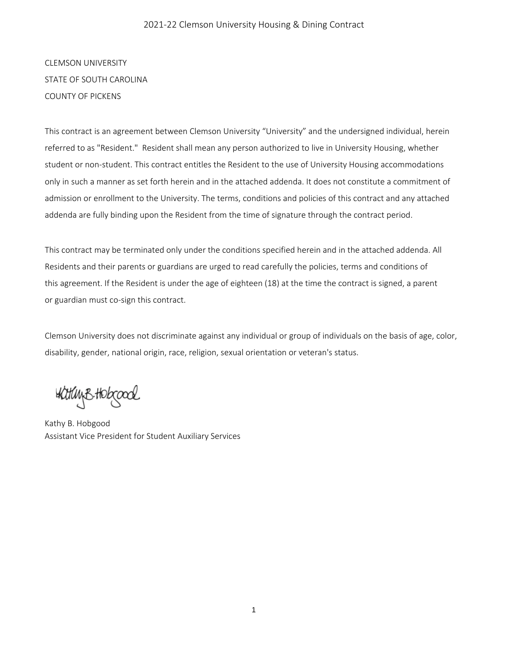#### 2021-22 Clemson University Housing & Dining Contract

CLEMSON UNIVERSITY STATE OF SOUTH CAROLINA COUNTY OF PICKENS

This contract is an agreement between Clemson University "University" and the undersigned individual, herein referred to as "Resident." Resident shall mean any person authorized to live in University Housing, whether student or non-student. This contract entitles the Resident to the use of University Housing accommodations only in such a manner as set forth herein and in the attached addenda. It does not constitute a commitment of admission or enrollment to the University. The terms, conditions and policies of this contract and any attached addenda are fully binding upon the Resident from the time of signature through the contract period.

This contract may be terminated only under the conditions specified herein and in the attached addenda. All Residents and their parents or guardians are urged to read carefully the policies, terms and conditions of this agreement. If the Resident is under the age of eighteen (18) at the time the contract is signed, a parent or guardian must co-sign this contract.

Clemson University does not discriminate against any individual or group of individuals on the basis of age, color, disability, gender, national origin, race, religion, sexual orientation or veteran's status.

: Watuy B. Hobcood

Kathy B. Hobgood Assistant Vice President for Student Auxiliary Services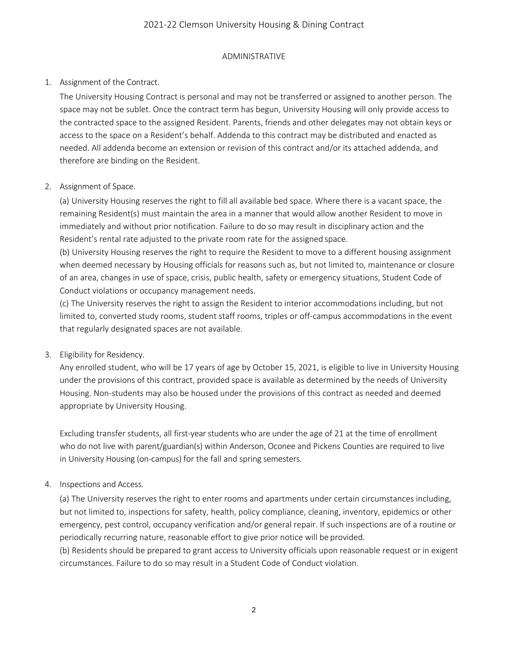## 2021-22 Clemson University Housing & Dining Contract

#### ADMINISTRATIVE

## 1. Assignment of the Contract.

The University Housing Contract is personal and may not be transferred or assigned to another person. The space may not be sublet. Once the contract term has begun, University Housing will only provide access to the contracted space to the assigned Resident. Parents, friends and other delegates may not obtain keys or access to the space on a Resident's behalf. Addenda to this contract may be distributed and enacted as needed. All addenda become an extension or revision of this contract and/or its attached addenda, and therefore are binding on the Resident.

#### 2. Assignment of Space.

(a) University Housing reserves the right to fill all available bed space. Where there is a vacant space, the remaining Resident(s) must maintain the area in a manner that would allow another Resident to move in immediately and without prior notification. Failure to do so may result in disciplinary action and the Resident's rental rate adjusted to the private room rate for the assigned space.

(b) University Housing reserves the right to require the Resident to move to a different housing assignment when deemed necessary by Housing officials for reasons such as, but not limited to, maintenance or closure of an area, changes in use of space, crisis, public health, safety or emergency situations, Student Code of Conduct violations or occupancy management needs.

(c) The University reserves the right to assign the Resident to interior accommodations including, but not limited to, converted study rooms, student staff rooms, triples or off-campus accommodations in the event that regularly designated spaces are not available.

#### 3. Eligibility for Residency.

Any enrolled student, who will be 17 years of age by October 15, 2021, is eligible to live in University Housing under the provisions of this contract, provided space is available as determined by the needs of University Housing. Non-students may also be housed under the provisions of this contract as needed and deemed appropriate by University Housing.

Excluding transfer students, all first-year students who are under the age of 21 at the time of enrollment who do not live with parent/guardian(s) within Anderson, Oconee and Pickens Counties are required to live in University Housing (on-campus) for the fall and spring semesters.

#### 4. Inspections and Access.

(a) The University reserves the right to enter rooms and apartments under certain circumstances including, but not limited to, inspections for safety, health, policy compliance, cleaning, inventory, epidemics or other emergency, pest control, occupancy verification and/or general repair. If such inspections are of a routine or periodically recurring nature, reasonable effort to give prior notice will be provided.

(b) Residents should be prepared to grant access to University officials upon reasonable request or in exigent circumstances. Failure to do so may result in a Student Code of Conduct violation.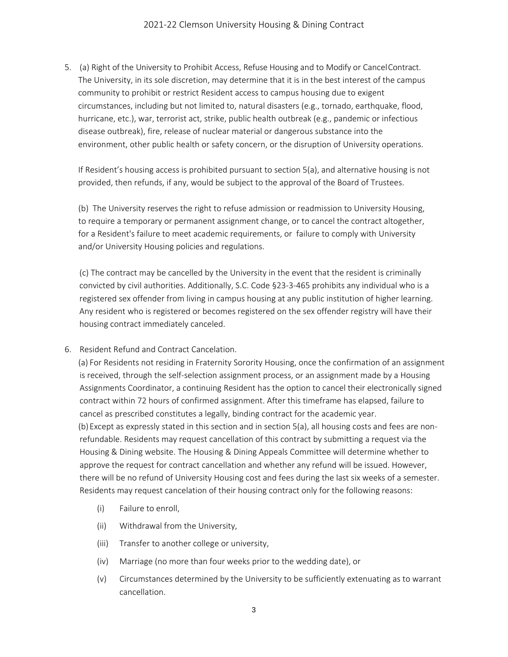5. (a) Right of the University to Prohibit Access, Refuse Housing and to Modify or CancelContract. The University, in its sole discretion, may determine that it is in the best interest of the campus community to prohibit or restrict Resident access to campus housing due to exigent circumstances, including but not limited to, natural disasters (e.g., tornado, earthquake, flood, hurricane, etc.), war, terrorist act, strike, public health outbreak (e.g., pandemic or infectious disease outbreak), fire, release of nuclear material or dangerous substance into the environment, other public health or safety concern, or the disruption of University operations.

If Resident's housing access is prohibited pursuant to section 5(a), and alternative housing is not provided, then refunds, if any, would be subject to the approval of the Board of Trustees.

(b) The University reserves the right to refuse admission or readmission to University Housing, to require a temporary or permanent assignment change, or to cancel the contract altogether, for a Resident's failure to meet academic requirements, or failure to comply with University and/or University Housing policies and regulations.

(c) The contract may be cancelled by the University in the event that the resident is criminally convicted by civil authorities. Additionally, S.C. Code §23-3-465 prohibits any individual who is a registered sex offender from living in campus housing at any public institution of higher learning. Any resident who is registered or becomes registered on the sex offender registry will have their housing contract immediately canceled.

6. Resident Refund and Contract Cancelation.

(a) For Residents not residing in Fraternity Sorority Housing, once the confirmation of an assignment is received, through the self-selection assignment process, or an assignment made by a Housing Assignments Coordinator, a continuing Resident has the option to cancel their electronically signed contract within 72 hours of confirmed assignment. After this timeframe has elapsed, failure to cancel as prescribed constitutes a legally, binding contract for the academic year. (b) Except as expressly stated in this section and in section 5(a), all housing costs and fees are nonrefundable. Residents may request cancellation of this contract by submitting a request via the Housing & Dining website. The Housing & Dining Appeals Committee will determine whether to approve the request for contract cancellation and whether any refund will be issued. However, there will be no refund of University Housing cost and fees during the last six weeks of a semester. Residents may request cancelation of their housing contract only for the following reasons:

- (i) Failure to enroll,
- (ii) Withdrawal from the University,
- (iii) Transfer to another college or university,
- (iv) Marriage (no more than four weeks prior to the wedding date), or
- (v) Circumstances determined by the University to be sufficiently extenuating as to warrant cancellation.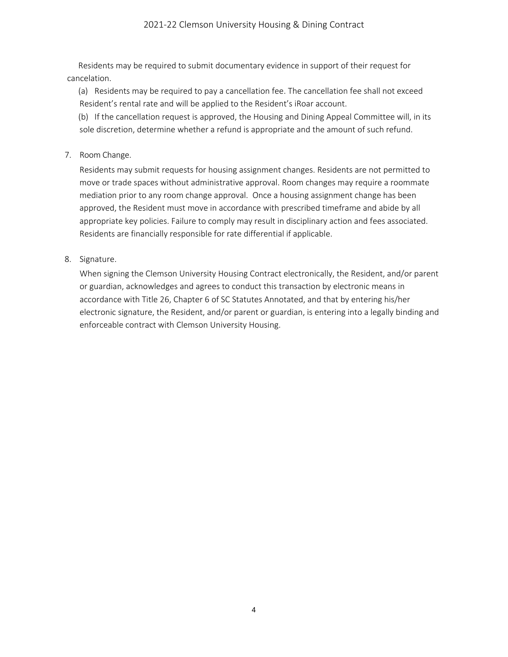#### 2021-22 Clemson University Housing & Dining Contract

Residents may be required to submit documentary evidence in support of their request for cancelation.

(a) Residents may be required to pay a cancellation fee. The cancellation fee shall not exceed Resident's rental rate and will be applied to the Resident's iRoar account.

(b) If the cancellation request is approved, the Housing and Dining Appeal Committee will, in its sole discretion, determine whether a refund is appropriate and the amount of such refund.

7. Room Change.

Residents may submit requests for housing assignment changes. Residents are not permitted to move or trade spaces without administrative approval. Room changes may require a roommate mediation prior to any room change approval. Once a housing assignment change has been approved, the Resident must move in accordance with prescribed timeframe and abide by all appropriate key policies. Failure to comply may result in disciplinary action and fees associated. Residents are financially responsible for rate differential if applicable.

8. Signature.

When signing the Clemson University Housing Contract electronically, the Resident, and/or parent or guardian, acknowledges and agrees to conduct this transaction by electronic means in accordance with Title 26, Chapter 6 of SC Statutes Annotated, and that by entering his/her electronic signature, the Resident, and/or parent or guardian, is entering into a legally binding and enforceable contract with Clemson University Housing.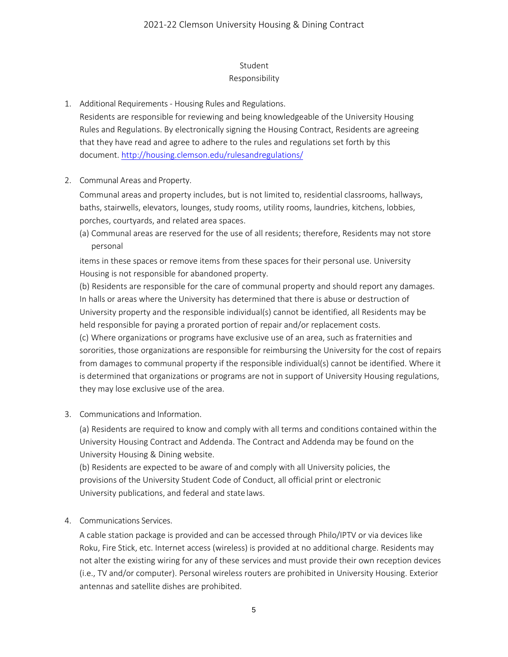## Student

## Responsibility

1. Additional Requirements - Housing Rules and Regulations.

Residents are responsible for reviewing and being knowledgeable of the University Housing Rules and Regulations. By electronically signing the Housing Contract, Residents are agreeing that they have read and agree to adhere to the rules and regulations set forth by this document.<http://housing.clemson.edu/rulesandregulations/>

2. Communal Areas and Property.

Communal areas and property includes, but is not limited to, residential classrooms, hallways, baths, stairwells, elevators, lounges, study rooms, utility rooms, laundries, kitchens, lobbies, porches, courtyards, and related area spaces.

(a) Communal areas are reserved for the use of all residents; therefore, Residents may not store personal

items in these spaces or remove items from these spaces for their personal use. University Housing is not responsible for abandoned property.

(b) Residents are responsible for the care of communal property and should report any damages. In halls or areas where the University has determined that there is abuse or destruction of University property and the responsible individual(s) cannot be identified, all Residents may be held responsible for paying a prorated portion of repair and/or replacement costs.

(c) Where organizations or programs have exclusive use of an area, such as fraternities and sororities, those organizations are responsible for reimbursing the University for the cost of repairs from damages to communal property if the responsible individual(s) cannot be identified. Where it is determined that organizations or programs are not in support of University Housing regulations, they may lose exclusive use of the area.

3. Communications and Information.

(a) Residents are required to know and comply with all terms and conditions contained within the University Housing Contract and Addenda. The Contract and Addenda may be found on the University Housing & Dining website.

(b) Residents are expected to be aware of and comply with all University policies, the provisions of the University Student Code of Conduct, all official print or electronic University publications, and federal and state laws.

4. Communications Services.

A cable station package is provided and can be accessed through Philo/IPTV or via devices like Roku, Fire Stick, etc. Internet access (wireless) is provided at no additional charge. Residents may not alter the existing wiring for any of these services and must provide their own reception devices (i.e., TV and/or computer). Personal wireless routers are prohibited in University Housing. Exterior antennas and satellite dishes are prohibited.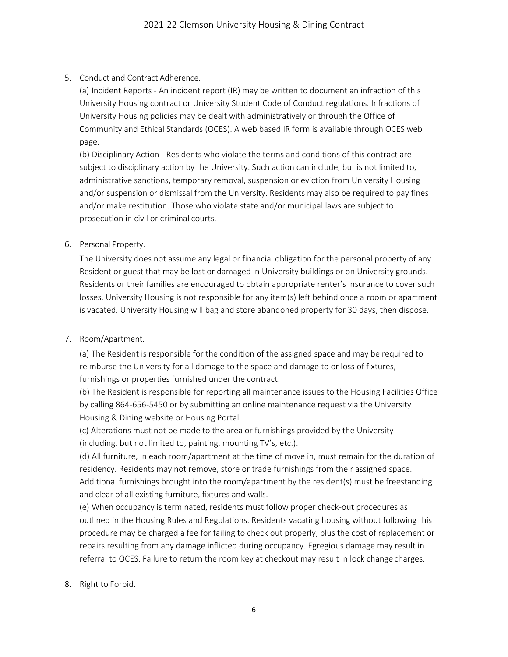## 5. Conduct and Contract Adherence.

(a) Incident Reports - An incident report (IR) may be written to document an infraction of this University Housing contract or University Student Code of Conduct regulations. Infractions of University Housing policies may be dealt with administratively or through the Office of Community and Ethical Standards (OCES). A web based IR form is available through OCES web page.

(b) Disciplinary Action - Residents who violate the terms and conditions of this contract are subject to disciplinary action by the University. Such action can include, but is not limited to, administrative sanctions, temporary removal, suspension or eviction from University Housing and/or suspension or dismissal from the University. Residents may also be required to pay fines and/or make restitution. Those who violate state and/or municipal laws are subject to prosecution in civil or criminal courts.

#### 6. Personal Property.

The University does not assume any legal or financial obligation for the personal property of any Resident or guest that may be lost or damaged in University buildings or on University grounds. Residents or their families are encouraged to obtain appropriate renter's insurance to cover such losses. University Housing is not responsible for any item(s) left behind once a room or apartment is vacated. University Housing will bag and store abandoned property for 30 days, then dispose.

#### 7. Room/Apartment.

(a) The Resident is responsible for the condition of the assigned space and may be required to reimburse the University for all damage to the space and damage to or loss of fixtures, furnishings or properties furnished under the contract.

(b) The Resident is responsible for reporting all maintenance issues to the Housing Facilities Office by calling 864-656-5450 or by submitting an online maintenance request via the University Housing & Dining website or Housing Portal.

(c) Alterations must not be made to the area or furnishings provided by the University (including, but not limited to, painting, mounting TV's, etc.).

(d) All furniture, in each room/apartment at the time of move in, must remain for the duration of residency. Residents may not remove, store or trade furnishings from their assigned space. Additional furnishings brought into the room/apartment by the resident(s) must be freestanding and clear of all existing furniture, fixtures and walls.

(e) When occupancy is terminated, residents must follow proper check-out procedures as outlined in the Housing Rules and Regulations. Residents vacating housing without following this procedure may be charged a fee for failing to check out properly, plus the cost of replacement or repairs resulting from any damage inflicted during occupancy. Egregious damage may result in referral to OCES. Failure to return the room key at checkout may result in lock change charges.

8. Right to Forbid.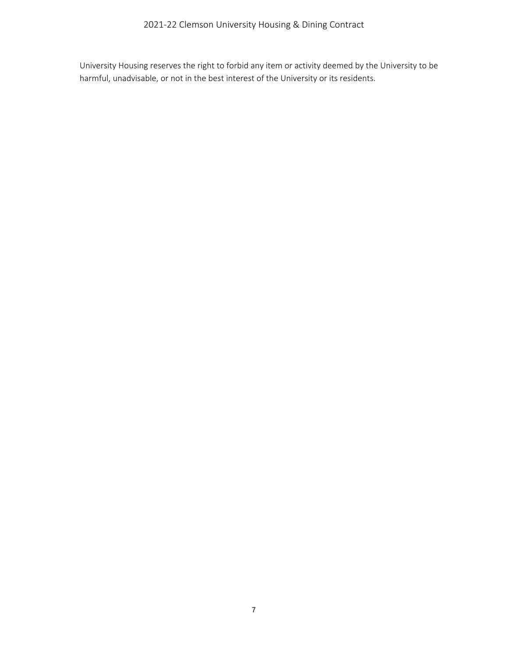University Housing reserves the right to forbid any item or activity deemed by the University to be harmful, unadvisable, or not in the best interest of the University or its residents.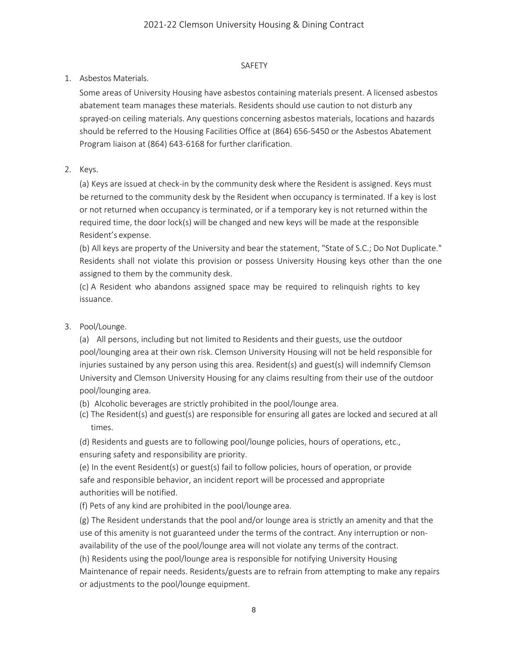## SAFETY

## 1. Asbestos Materials.

Some areas of University Housing have asbestos containing materials present. A licensed asbestos abatement team manages these materials. Residents should use caution to not disturb any sprayed-on ceiling materials. Any questions concerning asbestos materials, locations and hazards should be referred to the Housing Facilities Office at (864) 656-5450 or the Asbestos Abatement Program liaison at (864) 643-6168 for further clarification.

## 2. Keys.

(a) Keys are issued at check-in by the community desk where the Resident is assigned. Keys must be returned to the community desk by the Resident when occupancy is terminated. If a key is lost or not returned when occupancy is terminated, or if a temporary key is not returned within the required time, the door lock(s) will be changed and new keys will be made at the responsible Resident's expense.

(b) All keys are property of the University and bear the statement, "State of S.C.; Do Not Duplicate." Residents shall not violate this provision or possess University Housing keys other than the one assigned to them by the community desk.

(c) A Resident who abandons assigned space may be required to relinquish rights to key issuance.

# 3. Pool/Lounge.

(a) All persons, including but not limited to Residents and their guests, use the outdoor pool/lounging area at their own risk. Clemson University Housing will not be held responsible for injuries sustained by any person using this area. Resident(s) and guest(s) will indemnify Clemson University and Clemson University Housing for any claims resulting from their use of the outdoor pool/lounging area.

- (b) Alcoholic beverages are strictly prohibited in the pool/lounge area.
- (c) The Resident(s) and guest(s) are responsible for ensuring all gates are locked and secured at all times.

(d) Residents and guests are to following pool/lounge policies, hours of operations, etc., ensuring safety and responsibility are priority.

(e) In the event Resident(s) or guest(s) fail to follow policies, hours of operation, or provide safe and responsible behavior, an incident report will be processed and appropriate authorities will be notified.

(f) Pets of any kind are prohibited in the pool/lounge area.

(g) The Resident understands that the pool and/or lounge area is strictly an amenity and that the use of this amenity is not guaranteed under the terms of the contract. Any interruption or nonavailability of the use of the pool/lounge area will not violate any terms of the contract.

(h) Residents using the pool/lounge area is responsible for notifying University Housing Maintenance of repair needs. Residents/guests are to refrain from attempting to make any repairs or adjustments to the pool/lounge equipment.